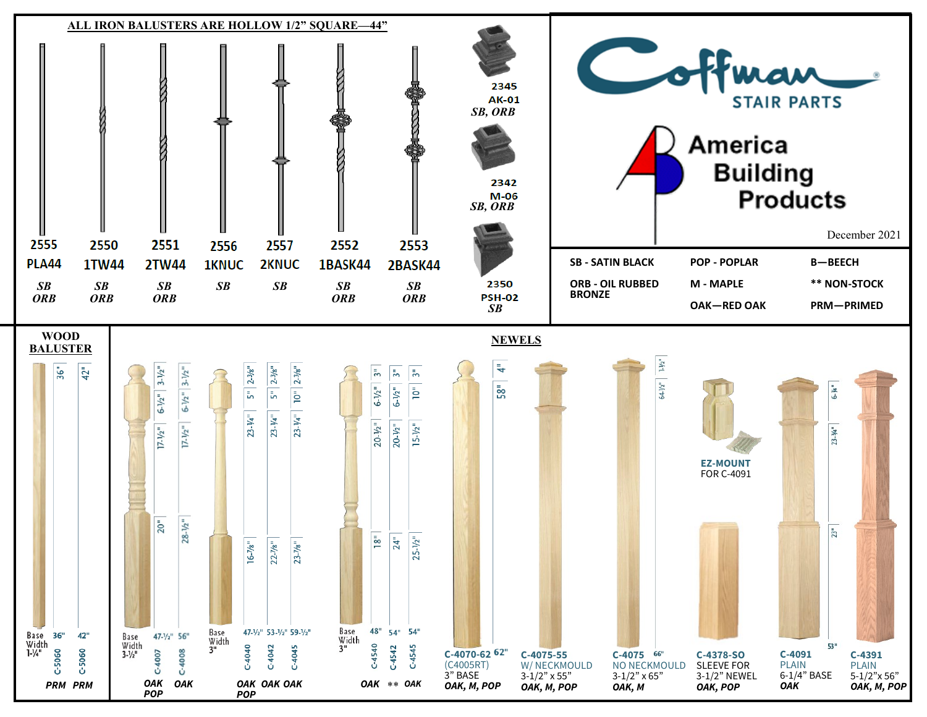